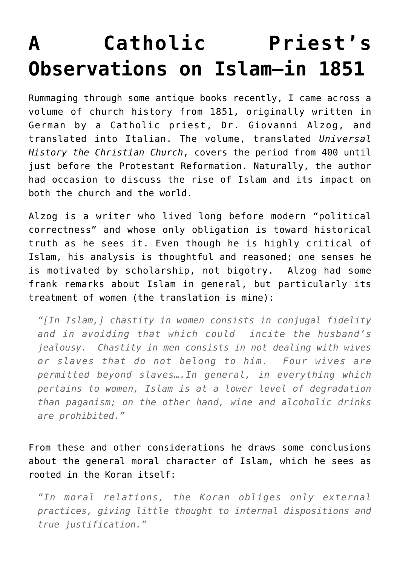## **[A Catholic Priest's](https://intellectualtakeout.org/2017/02/a-catholic-priests-observations-on-islam-in-1851/) [Observations on Islam—in 1851](https://intellectualtakeout.org/2017/02/a-catholic-priests-observations-on-islam-in-1851/)**

Rummaging through some antique books recently, I came across a volume of church history from 1851, originally written in German by a Catholic priest, Dr. Giovanni Alzog, and translated into Italian. The volume, translated *Universal History the Christian Church*, covers the period from 400 until just before the Protestant Reformation. Naturally, the author had occasion to discuss the rise of Islam and its impact on both the church and the world.

Alzog is a writer who lived long before modern "political correctness" and whose only obligation is toward historical truth as he sees it. Even though he is highly critical of Islam, his analysis is thoughtful and reasoned; one senses he is motivated by scholarship, not bigotry. Alzog had some frank remarks about Islam in general, but particularly its treatment of women (the translation is mine):

*"[In Islam,] chastity in women consists in conjugal fidelity and in avoiding that which could incite the husband's jealousy. Chastity in men consists in not dealing with wives or slaves that do not belong to him. Four wives are permitted beyond slaves….In general, in everything which pertains to women, Islam is at a lower level of degradation than paganism; on the other hand, wine and alcoholic drinks are prohibited."*

From these and other considerations he draws some conclusions about the general moral character of Islam, which he sees as rooted in the Koran itself:

*"In moral relations, the Koran obliges only external practices, giving little thought to internal dispositions and true justification."*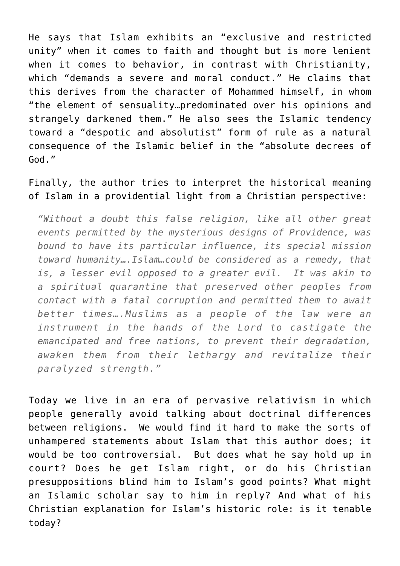He says that Islam exhibits an "exclusive and restricted unity" when it comes to faith and thought but is more lenient when it comes to behavior, in contrast with Christianity, which "demands a severe and moral conduct." He claims that this derives from the character of Mohammed himself, in whom "the element of sensuality…predominated over his opinions and strangely darkened them." He also sees the Islamic tendency toward a "despotic and absolutist" form of rule as a natural consequence of the Islamic belief in the "absolute decrees of God."

Finally, the author tries to interpret the historical meaning of Islam in a providential light from a Christian perspective:

*"Without a doubt this false religion, like all other great events permitted by the mysterious designs of Providence, was bound to have its particular influence, its special mission toward humanity….Islam…could be considered as a remedy, that is, a lesser evil opposed to a greater evil. It was akin to a spiritual quarantine that preserved other peoples from contact with a fatal corruption and permitted them to await better times….Muslims as a people of the law were an instrument in the hands of the Lord to castigate the emancipated and free nations, to prevent their degradation, awaken them from their lethargy and revitalize their paralyzed strength."*

Today we live in an era of pervasive relativism in which people generally avoid talking about doctrinal differences between religions. We would find it hard to make the sorts of unhampered statements about Islam that this author does; it would be too controversial. But does what he say hold up in court? Does he get Islam right, or do his Christian presuppositions blind him to Islam's good points? What might an Islamic scholar say to him in reply? And what of his Christian explanation for Islam's historic role: is it tenable today?